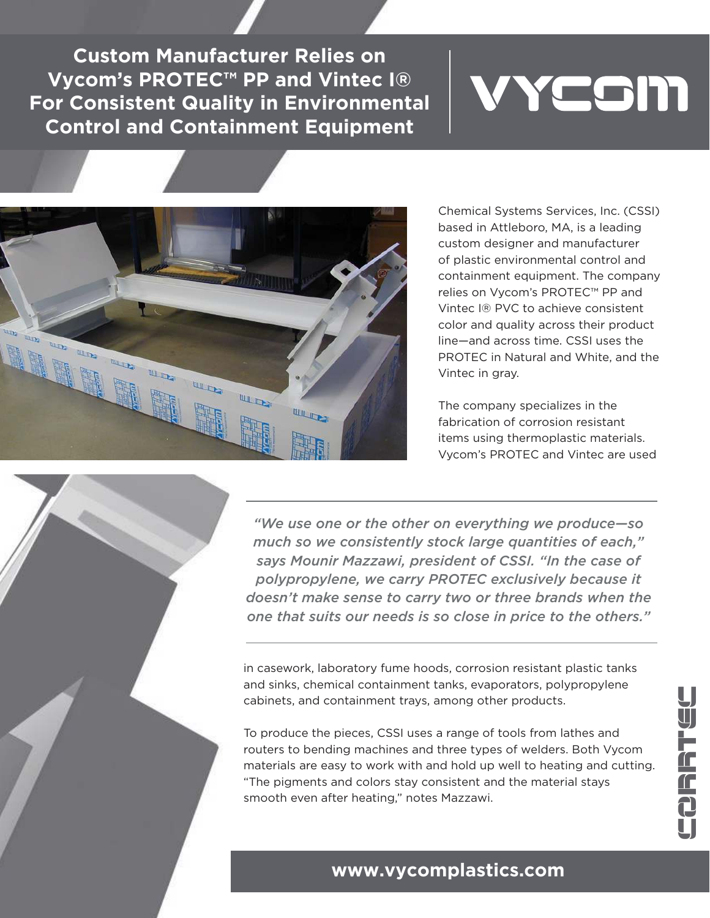**Custom Manufacturer Relies on Vycom's PROTEC™ PP and Vintec I® For Consistent Quality in Environmental Control and Containment Equipment**

## YCOM



Chemical Systems Services, Inc. (CSSI) based in Attleboro, MA, is a leading custom designer and manufacturer of plastic environmental control and containment equipment. The company relies on Vycom's PROTEC™ PP and Vintec I® PVC to achieve consistent color and quality across their product line—and across time. CSSI uses the PROTEC in Natural and White, and the Vintec in gray.

The company specializes in the fabrication of corrosion resistant items using thermoplastic materials. Vycom's PROTEC and Vintec are used

*"We use one or the other on everything we produce—so much so we consistently stock large quantities of each," says Mounir Mazzawi, president of CSSI. "In the case of polypropylene, we carry PROTEC exclusively because it doesn't make sense to carry two or three brands when the one that suits our needs is so close in price to the others."*

in casework, laboratory fume hoods, corrosion resistant plastic tanks and sinks, chemical containment tanks, evaporators, polypropylene cabinets, and containment trays, among other products.

To produce the pieces, CSSI uses a range of tools from lathes and routers to bending machines and three types of welders. Both Vycom materials are easy to work with and hold up well to heating and cutting. "The pigments and colors stay consistent and the material stays smooth even after heating," notes Mazzawi.

## **www.vycomplastics.com**